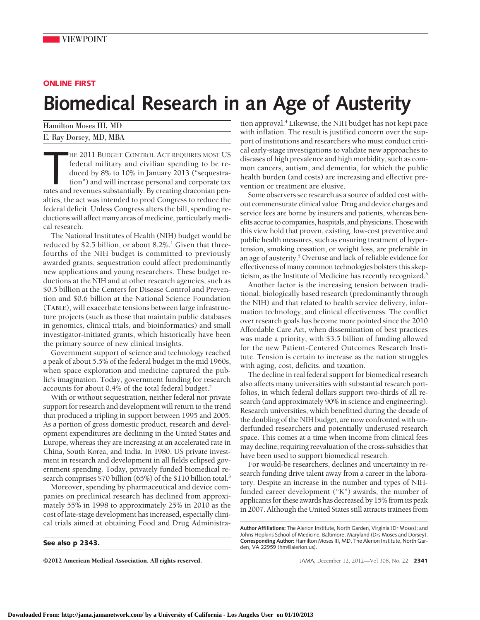## **ONLINE FIRST**

## **Biomedical Research in an Age of Austerity**

| Hamilton Moses III, MD | tion a            |
|------------------------|-------------------|
| E. Ray Dorsey, MD, MBA | with i            |
|                        | $n$ nt $\epsilon$ |

HE 2011 BUDGET CONTROL ACT REQUIRES MOST US<br>federal military and civilian spending to be re-<br>duced by 8% to 10% in January 2013 ("sequestra-<br>tion") and will increase personal and corporate tax<br>rates and revenues substantia HE 2011 BUDGET CONTROL ACT REQUIRES MOST US federal military and civilian spending to be reduced by 8% to 10% in January 2013 ("sequestration") and will increase personal and corporate tax alties, the act was intended to prod Congress to reduce the federal deficit. Unless Congress alters the bill, spending reductions will affect many areas of medicine, particularly medical research.

The National Institutes of Health (NIH) budget would be reduced by \$2.5 billion, or about  $8.2\%$ .<sup>1</sup> Given that threefourths of the NIH budget is committed to previously awarded grants, sequestration could affect predominantly new applications and young researchers. These budget reductions at the NIH and at other research agencies, such as \$0.5 billion at the Centers for Disease Control and Prevention and \$0.6 billion at the National Science Foundation (**TABLE**), will exacerbate tensions between large infrastructure projects (such as those that maintain public databases in genomics, clinical trials, and bioinformatics) and small investigator-initiated grants, which historically have been the primary source of new clinical insights.

Government support of science and technology reached a peak of about 5.5% of the federal budget in the mid 1960s, when space exploration and medicine captured the public's imagination. Today, government funding for research accounts for about 0.4% of the total federal budget.2

With or without sequestration, neither federal nor private support for research and development will return to the trend that produced a tripling in support between 1995 and 2005. As a portion of gross domestic product, research and development expenditures are declining in the United States and Europe, whereas they are increasing at an accelerated rate in China, South Korea, and India. In 1980, US private investment in research and development in all fields eclipsed government spending. Today, privately funded biomedical research comprises \$70 billion (65%) of the \$110 billion total.<sup>3</sup>

Moreover, spending by pharmaceutical and device companies on preclinical research has declined from approximately 55% in 1998 to approximately 25% in 2010 as the cost of late-stage development has increased, especially clinical trials aimed at obtaining Food and Drug Administra-

**See also p 2343.**

©2012 American Medical Association. All rights reserved. JAMA, December 12, 2012—Vol 308, No. 22 **2341**

pproval.<sup>4</sup> Likewise, the NIH budget has not kept pace inflation. The result is justified concern over the support of institutions and researchers who must conduct critical early-stage investigations to validate new approaches to diseases of high prevalence and high morbidity, such as common cancers, autism, and dementia, for which the public health burden (and costs) are increasing and effective prevention or treatment are elusive.

Some observers see research as a source of added cost without commensurate clinical value. Drug and device charges and service fees are borne by insurers and patients, whereas benefits accrue to companies, hospitals, and physicians. Those with this view hold that proven, existing, low-cost preventive and public health measures, such as ensuring treatment of hypertension, smoking cessation, or weight loss, are preferable in an age of austerity.5 Overuse and lack of reliable evidence for effectiveness of many common technologies bolsters this skepticism, as the Institute of Medicine has recently recognized.<sup>6</sup>

Another factor is the increasing tension between traditional, biologically based research (predominantly through the NIH) and that related to health service delivery, information technology, and clinical effectiveness. The conflict over research goals has become more pointed since the 2010 Affordable Care Act, when dissemination of best practices was made a priority, with \$3.5 billion of funding allowed for the new Patient-Centered Outcomes Research Institute. Tension is certain to increase as the nation struggles with aging, cost, deficits, and taxation.

The decline in real federal support for biomedical research also affects many universities with substantial research portfolios, in which federal dollars support two-thirds of all research (and approximately 90% in science and engineering). Research universities, which benefitted during the decade of the doubling of the NIH budget, are now confronted with underfunded researchers and potentially underused research space. This comes at a time when income from clinical fees may decline, requiring reevaluation of the cross-subsidies that have been used to support biomedical research.

For would-be researchers, declines and uncertainty in research funding drive talent away from a career in the laboratory. Despite an increase in the number and types of NIHfunded career development ("K") awards, the number of applicants for these awards has decreased by 15% from its peak in 2007. Although the United States still attracts trainees from

**Author Affiliations:** The Alerion Institute, North Garden, Virginia (Dr Moses); and Johns Hopkins School of Medicine, Baltimore, Maryland (Drs Moses and Dorsey). **Corresponding Author:** Hamilton Moses III, MD, The Alerion Institute, North Garden, VA 22959 (hm@alerion.us).